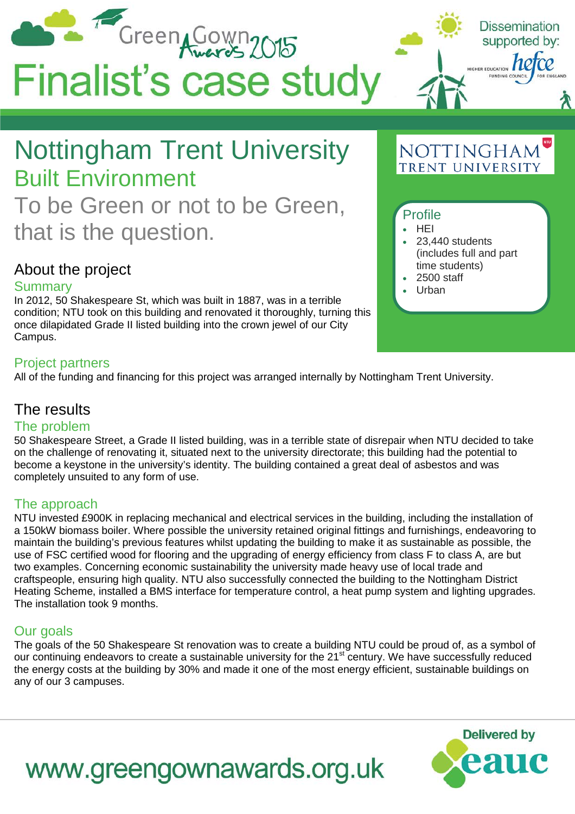

## To be Green or not to be Green, that is the question.

### About the project

### Summary

In 2012, 50 Shakespeare St, which was built in 1887, was in a terrible condition; NTU took on this building and renovated it thoroughly, turning this once dilapidated Grade II listed building into the crown jewel of our City Campus.

### Project partners

All of the funding and financing for this project was arranged internally by Nottingham Trent University.

### The results

### The problem

50 Shakespeare Street, a Grade II listed building, was in a terrible state of disrepair when NTU decided to take on the challenge of renovating it, situated next to the university directorate; this building had the potential to become a keystone in the university's identity. The building contained a great deal of asbestos and was completely unsuited to any form of use.

### The approach

NTU invested £900K in replacing mechanical and electrical services in the building, including the installation of a 150kW biomass boiler. Where possible the university retained original fittings and furnishings, endeavoring to maintain the building's previous features whilst updating the building to make it as sustainable as possible, the use of FSC certified wood for flooring and the upgrading of energy efficiency from class F to class A, are but two examples. Concerning economic sustainability the university made heavy use of local trade and craftspeople, ensuring high quality. NTU also successfully connected the building to the Nottingham District Heating Scheme, installed a BMS interface for temperature control, a heat pump system and lighting upgrades. The installation took 9 months.

### Our goals

The goals of the 50 Shakespeare St renovation was to create a building NTU could be proud of, as a symbol of our continuing endeavors to create a sustainable university for the 21st century. We have successfully reduced the energy costs at the building by 30% and made it one of the most energy efficient, sustainable buildings on any of our 3 campuses.

### time students) • 2500 staff • Urban

• 23,440 students

(includes full and part

Profile • HEI

# www.greengownawards.org.uk